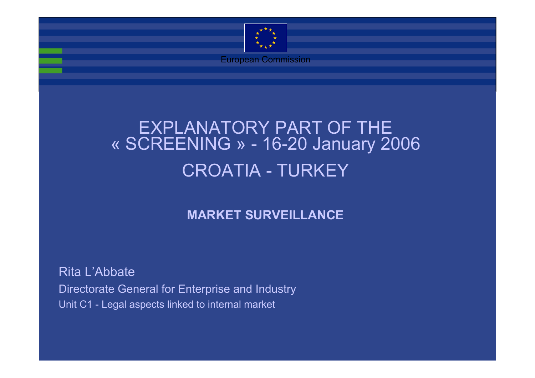

European Commission

### EXPLANATORY PART OF THE « SCREENING » - 16-20 January 2006 CROATIA - TURKEY

#### **MARKET SURVEILLANCE**

Rita L'Abbate Directorate General for Enterprise and Industry Unit C1 - Legal aspects linked to internal market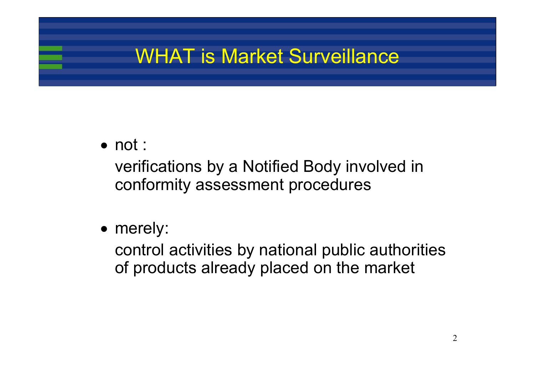# WHAT is Market Surveillance

#### • not :

verifications by a Notified Body involved in conformity assessment procedures

• merely:

control activities by national public authorities of products already placed on the market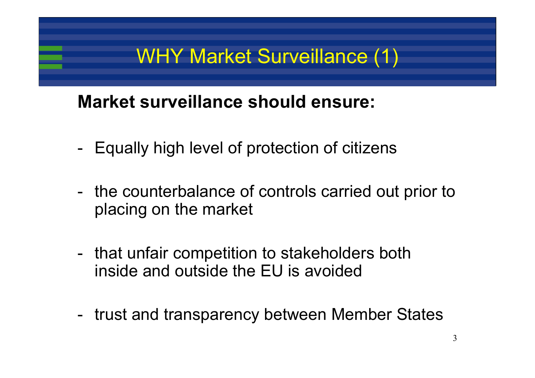# WHY Market Surveillance (1)

### **Market surveillance should ensure:**

- -Equally high level of protection of citizens
- the counterbalance of controls carried out prior to placing on the market
- that unfair competition to stakeholders both inside and outside the EU is avoided
- trust and transparency between Member States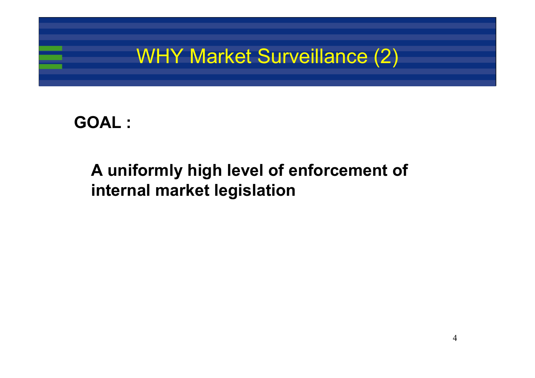

#### **GOAL :**

### **A uniformly high level of enforcement of internal market legislation**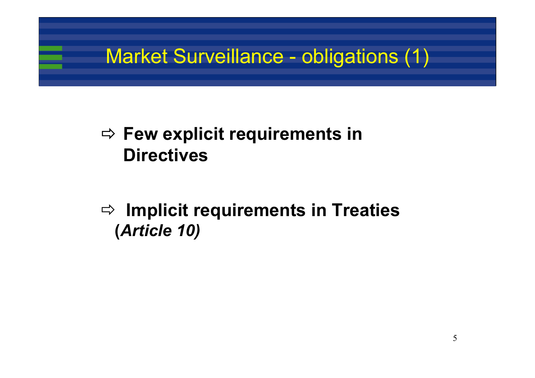# Market Surveillance - obligations (1)

### $\Rightarrow$  Few explicit requirements in **Directives**

### Ö **Implicit requirements in Treaties (***Article 10)*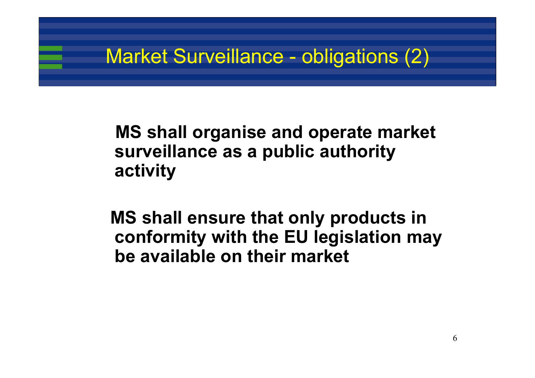# Market Surveillance - obligations (2)

### **MS shall organise and operate market surveillance as a public authority activity**

**MS shall ensure that only products in conformity with the EU legislation may be available on their market**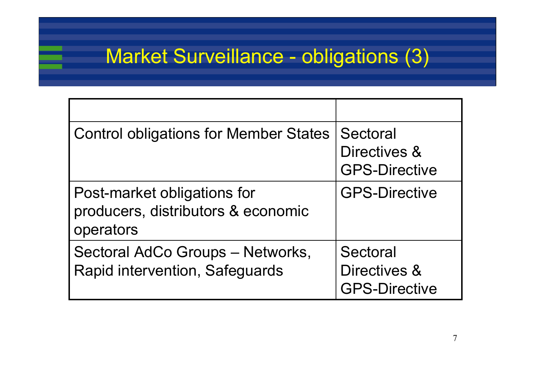# Market Surveillance - obligations (3)

| <b>Control obligations for Member States</b>                                   | Sectoral<br>Directives &<br><b>GPS-Directive</b> |
|--------------------------------------------------------------------------------|--------------------------------------------------|
| Post-market obligations for<br>producers, distributors & economic<br>operators | <b>GPS-Directive</b>                             |
| Sectoral AdCo Groups - Networks,<br>Rapid intervention, Safeguards             | Sectoral<br>Directives &<br><b>GPS-Directive</b> |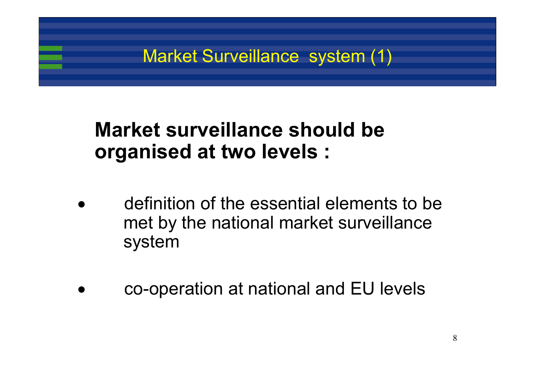

# **Market surveillance should beorganised at two levels :**

- • definition of the essential elements to bemet by the national market surveillance system
	- co-operation at national and EU levels

•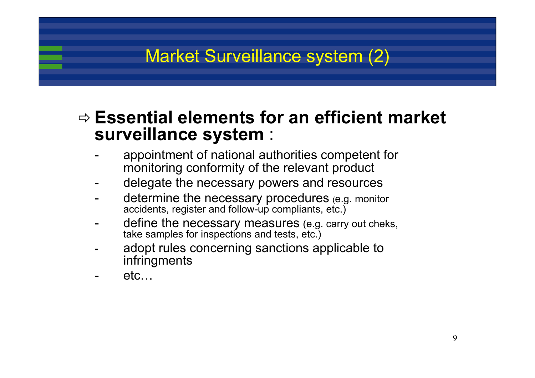### Market Surveillance system (2)

#### Ö **Essential elements for an efficient market surveillance system** :

- appointment of national authorities competent for monitoring conformity of the relevant product
- delegate the necessary powers and resources
- determine the necessary procedures (e.g. monitor accidents, register and follow-up compliants, etc.)
- define the necessary measures (e.g. carry out cheks, take samples for inspections and tests, etc.)
- adopt rules concerning sanctions applicable to infringments
- etc…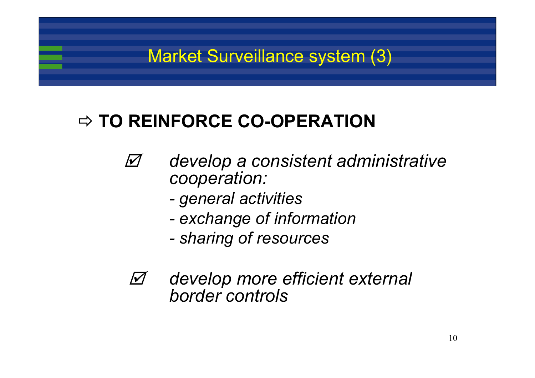### Market Surveillance system (3)

### Ö **TO REINFORCE CO-OPERATION**

- $\boldsymbol{\varOmega}$  *develop a consistent administrative cooperation:*
	- *general activities*
	- *exchange of information*
	- *sharing of resources*
- $\Delta$  *develop more efficient external border controls*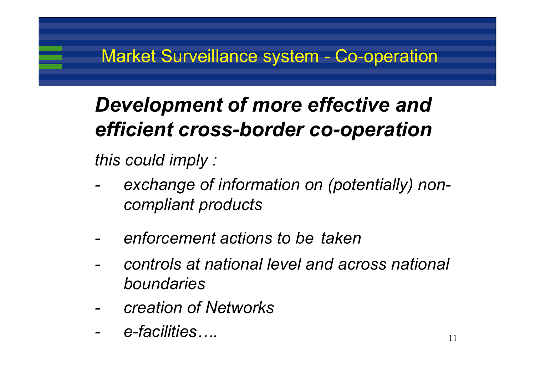# *Development of more effective and efficient cross-border co-operation*

*this could imply :*

- *exchange of information on (potentially) noncompliant products*
- *enforcement actions to be taken*
- *controls at national level and across national boundaries*
- *creation of Networks*
- *e-facilities….*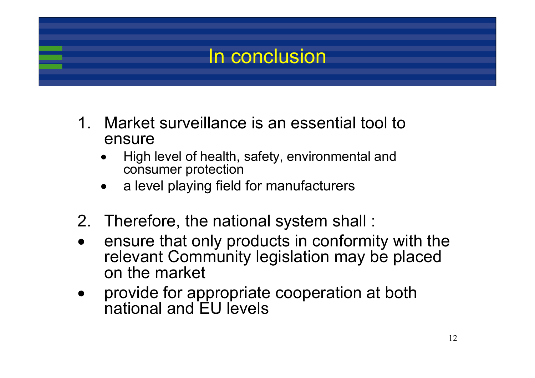

- 1. Market surveillance is an essential tool to ensure
	- • High level of health, safety, environmental and consumer protection
	- •a level playing field for manufacturers
- 2. Therefore, the national system shall :
- • ensure that only products in conformity with the relevant Community legislation may be placed on the market
- • provide for appropriate cooperation at both national and EU levels